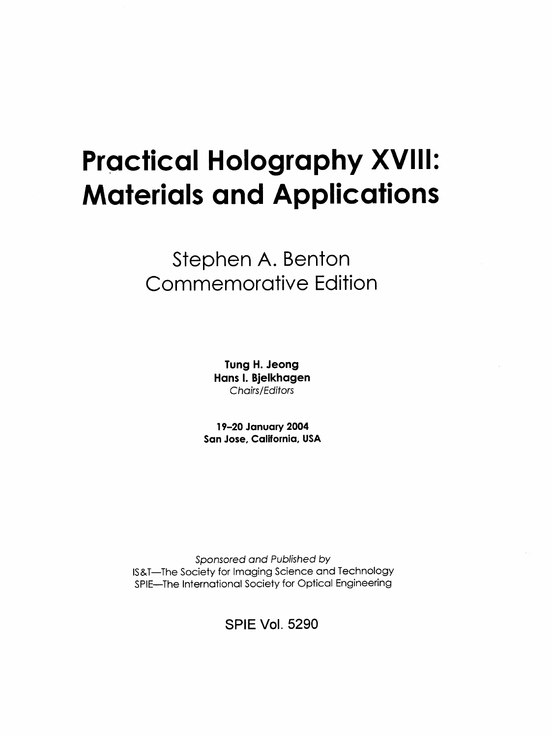# Practical Holography XVIII: Materials and Applications

## Stephen A. Benton Commemorative Edition

Tung H. Jeong Hans I. Bjelkhagen Chairs/Editors

19-20 January 2004 San Jose, California, USA

Sponsored and Published by IS&T—The Society for Imaging Science and Technology SPIE—The International Society for Optical Engineering

SPIE Vol. 5290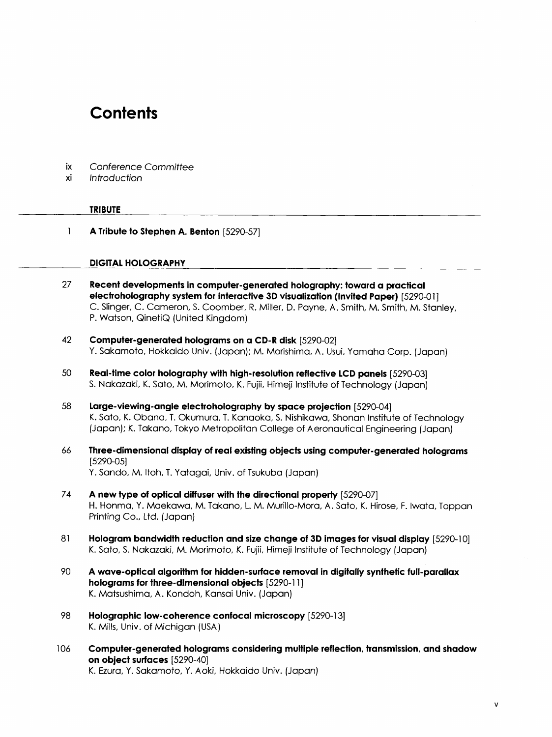### **Contents**

| IX | Conference Committee |  |
|----|----------------------|--|
|    |                      |  |

on object surfaces [5290-40]

K. Ezura, Y. Sakamoto, Y. Aoki, Hokkaido Univ. (Japan)

xi Introduction

|     | <b>TRIBUTE</b>                                                                                                                                                                                                                                                                                     |
|-----|----------------------------------------------------------------------------------------------------------------------------------------------------------------------------------------------------------------------------------------------------------------------------------------------------|
| 1   | A Tribute to Stephen A. Benton [5290-57]                                                                                                                                                                                                                                                           |
|     | <b>DIGITAL HOLOGRAPHY</b>                                                                                                                                                                                                                                                                          |
| 27  | Recent developments in computer-generated holography: toward a practical<br>electroholography system for interactive 3D visualization (Invited Paper) [5290-01]<br>C. Slinger, C. Cameron, S. Coomber, R. Miller, D. Payne, A. Smith, M. Smith, M. Stanley,<br>P. Watson, QinetiQ (United Kingdom) |
| 42  | Computer-generated holograms on a CD-R disk [5290-02]<br>Y. Sakamoto, Hokkaido Univ. (Japan); M. Morishima, A. Usui, Yamaha Corp. (Japan)                                                                                                                                                          |
| 50  | Real-time color holography with high-resolution reflective LCD panels [5290-03]<br>S. Nakazaki, K. Sato, M. Morimoto, K. Fujii, Himeji Institute of Technology (Japan)                                                                                                                             |
| 58  | Large-viewing-angle electroholography by space projection [5290-04]<br>K. Sato, K. Obana, T. Okumura, T. Kanaoka, S. Nishikawa, Shonan Institute of Technology<br>(Japan); K. Takano, Tokyo Metropolitan College of Aeronautical Engineering (Japan)                                               |
| 66  | Three-dimensional display of real existing objects using computer-generated holograms<br>$[5290 - 05]$                                                                                                                                                                                             |
|     | Y. Sando, M. Itoh, T. Yatagai, Univ. of Tsukuba (Japan)                                                                                                                                                                                                                                            |
| 74  | A new type of optical diffuser with the directional property [5290-07]<br>H. Honma, Y. Maekawa, M. Takano, L. M. Murillo-Mora, A. Sato, K. Hirose, F. Iwata, Toppan<br>Printing Co., Ltd. (Japan)                                                                                                  |
| 81  | Hologram bandwidth reduction and size change of 3D images for visual display [5290-10]<br>K. Sato, S. Nakazaki, M. Morimoto, K. Fujii, Himeji Institute of Technology (Japan)                                                                                                                      |
| 90  | A wave-optical algorithm for hidden-surface removal in digitally synthetic full-parallax<br>holograms for three-dimensional objects [5290-11]<br>K. Matsushima, A. Kondoh, Kansai Univ. (Japan)                                                                                                    |
| 98  | Holographic low-coherence confocal microscopy [5290-13]<br>K. Mills, Univ. of Michigan (USA)                                                                                                                                                                                                       |
| 106 | Computer-generated holograms considering multiple reflection, transmission, and shadow                                                                                                                                                                                                             |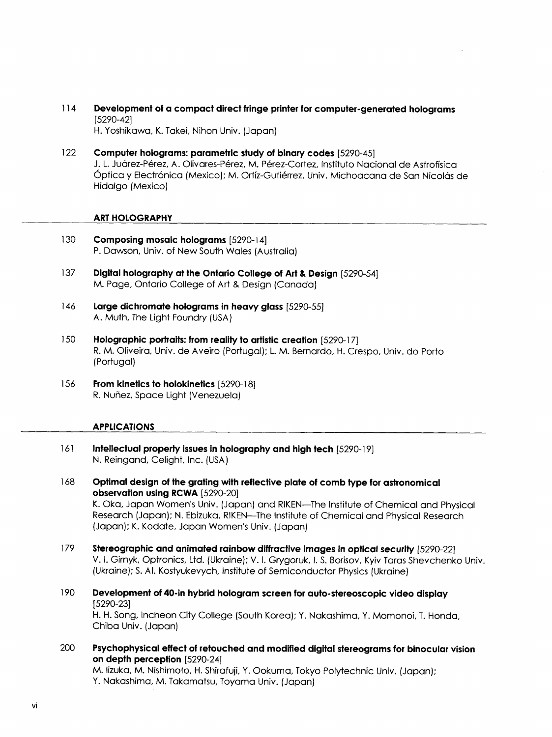- 114 Development of a compact direct fringe printer for computer-generated holograms [5290-42] H. Yoshikawa, K. Takei, Nihon Univ. (Japan)
- 122 Computer holograms: parametric study of binary codes [5290-45] J. L. Juárez-Pérez, A. Olivares-Pérez, M. Pérez-Cortez, Instituto Nacional de Astrofísica Óptica y Electrónica (Mexico); M. Ortíz-Gutiérrez, Univ. Michoacana de San Nicolás de Hidalgo (Mexico)

#### ART HOLOGRAPHY

- 130 Composing mosaic holograms [5290-14] P. Dawson, Univ. of New South Wales (Australia)
- 137 Digital holography at the Ontario College of Art & Design [5290-54] M. Page, Ontario College of Art & Design (Canada)
- 146 Large dichromate holograms in heavy glass [5290-55] A. Muth, The Light Foundry (USA)
- 150 Holographic portraits: from reality to artistic creation [5290-17] R. M. Oliveira, Univ. de Aveiro (Portugal); L M. Bernardo, H. Crespo, Univ. do Porto (Portugal)
- 156 From kinetics to holokinetics [5290-18] R. Nuñez, Space Light (Venezuela)

#### APPLICATIONS

- <sup>161</sup> Intellectual property issues in holography and high tech [5290-19] N. Reingand, Celight, Inc. (USA)
- <sup>168</sup> Optimal design of the grating with reflective plate of comb type for astronomical observation using RCWA [5290-20] K. Oka, Japan Women's Univ. (Japan) and RIKEN—The Institute of Chemical and Physical Research (Japan); N. Ebizuka, RIKEN—The Institute of Chemical and Physical Research (Japan); K. Kodate, Japan Women's Univ. (Japan)
- 179 Stereographic and animated rainbow diffractive images in optical security [5290-22] V. 1. Gimyk, Optronics, Ltd. (Ukraine); V. 1. Grygoruk, 1. S. Borisov, Kyiv Taras Shevchenko Univ. (Ukraine); S. Al. Kostyukevych, Institute of Semiconductor Physics (Ukraine)
- 190 Development of 40-in hybrid hologram screen for auto-stereoscopic video display [5290-23] H. H. Song, Incheon City College (South Korea); Y. Nakashima, Y. Momonoi, T. Honda, Chiba Univ. (Japan)
- 200 Psychophysical effect of retouched and modified digital stereograms for binocular vision on depth perception [5290-24] M. lizuka, M. Nishimoto, H. Shirafuji, Y. Ookuma, Tokyo Polytechnic Univ. (Japan); Y. Nakashima, M. Takamatsu, Toyama Univ. (Japan)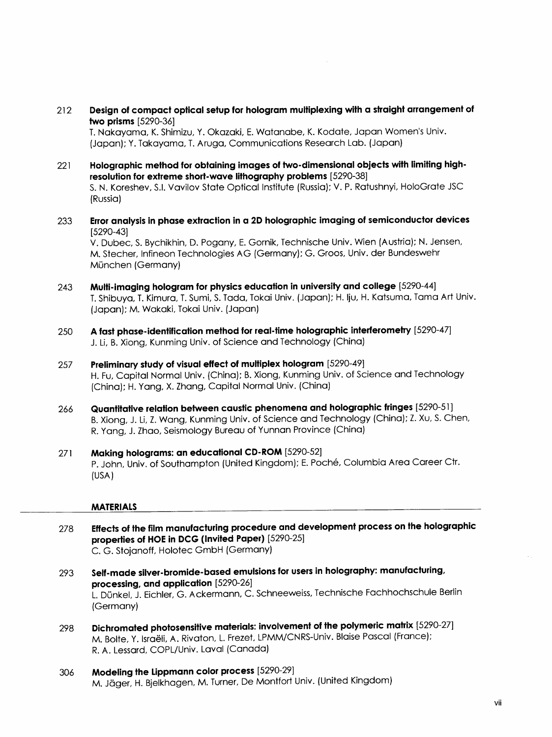<sup>212</sup> Design of compact optical setup for hologram multiplexing with a straight arrangement of two prisms [5290-36]

T. Nakayama, K. Shimizu, Y. Okazaki, E. Watanabe, K. Kodate, Japan Women's Univ. (Japan); Y. Takayama, T. Aruga, Communications Research Lab. (Japan)

- <sup>221</sup> Holographic method for obtaining images of two-dimensional objects with limiting highresolution for extreme short-wave lithography problems [5290-38] S. N. Koreshev, S.I. Vavilov State Optical Institute (Russia); V. P. Ratushnyi, HoloGrate JSC (Russia)
- 233 Error analysis in phase extraction in a 2D holographic imaging of semiconductor devices [5290-43]

V. Dubec, S. Bychikhin, D. Pogany, E. Gornik, Technische Univ. Wien (Austria); N. Jensen, M. Stecher, Infineon Technologies AG (Germany); G. Groos, Univ. der Bundeswehr München (Germany)

- 243 Multi-imaging hologram for physics education in university and college [5290-44] T. Shibuya, T. Kimura, T. Sumi, S. Tada, Tokai Univ. (Japan); H. Iju, H. Katsuma, Tama Art Univ. (Japan); M. Wakaki, Tokai Univ. (Japan)
- 250 A fast phase-identification method for real-time holographic interferometry [5290-47] J. Li, B. Xiong, Kunming Univ. of Science and Technology (China)
- 257 Preliminary study of visual effect of multiplex hologram [5290-49] H. Fu, Capital Normal Univ. (China); B. Xiong, Kunming Univ. of Science and Technology (China); H. Yang, X. Zhang, Capital Normal Univ. (China)
- 266 Quantitative relation between caustic phenomena and holographic fringes [5290-51 ] B. Xiong, J. Li, Z. Wang, Kunming Univ. of Science and Technology (China); Z. Xu, S. Chen, R. Yang, J. Zhao, Seismology Bureau of Yunnan Province (China)
- <sup>271</sup> Making holograms: an educational CD-ROM [5290-52] P. John, Univ. of Southampton (United Kingdom); E. Poche, Columbia Area Career Ctr. (USA)

#### MATERIALS

- <sup>278</sup> Effects of the film manufacturing procedure and development process on the holographic properties of HOE in DCG (Invited Paper) [5290-25] C. G. Stojanoff, Holotec GmbH (Germany)
- 293 Self-made silver-bromide-based emulsions for users in holography: manufacturing, processing, and application [5290-26] L. Dunkel, J. Eichler, G. Ackermann, C. Schneeweiss, Technische Fachhochschule Berlin (Germany)
- 298 Dichromated photosensitive materials: involvement of the polymeric matrix [5290-27] M. Bolte, Y. Israeli, A. Rivaton, L. Frezet, LPMM/CNRS-Univ. Blaise Pascal (France); R. A. Lessard, COPL/Univ. Laval (Canada)
- 306 Modeling the Lippmann color process [5290-29] M. Jäger, H. Bjelkhagen, M. Turner, De Montfort Univ. (United Kingdom)